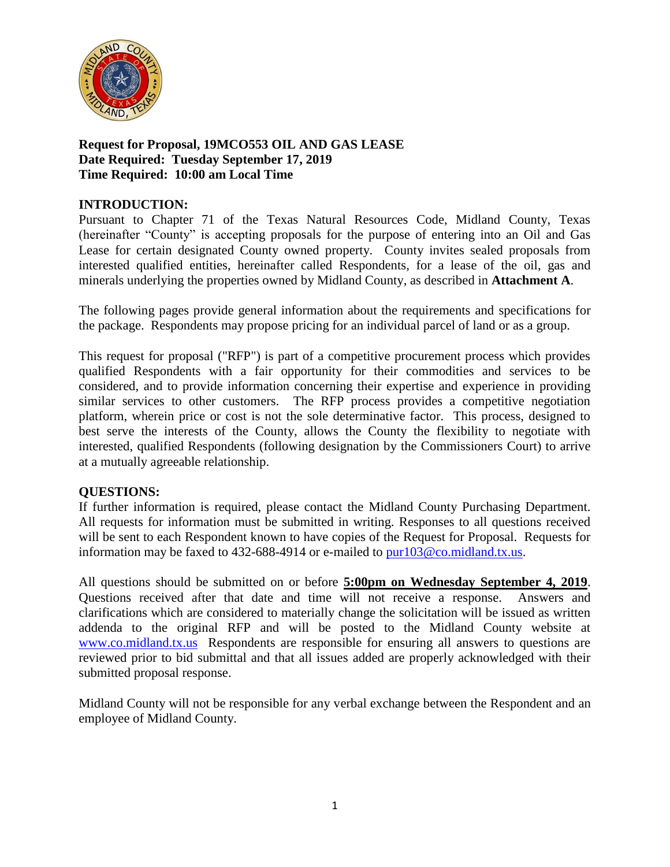

### **Request for Proposal, 19MCO553 OIL AND GAS LEASE Date Required: Tuesday September 17, 2019 Time Required: 10:00 am Local Time**

## **INTRODUCTION:**

Pursuant to Chapter 71 of the Texas Natural Resources Code, Midland County, Texas (hereinafter "County" is accepting proposals for the purpose of entering into an Oil and Gas Lease for certain designated County owned property. County invites sealed proposals from interested qualified entities, hereinafter called Respondents, for a lease of the oil, gas and minerals underlying the properties owned by Midland County, as described in **Attachment A**.

The following pages provide general information about the requirements and specifications for the package. Respondents may propose pricing for an individual parcel of land or as a group.

This request for proposal ("RFP") is part of a competitive procurement process which provides qualified Respondents with a fair opportunity for their commodities and services to be considered, and to provide information concerning their expertise and experience in providing similar services to other customers. The RFP process provides a competitive negotiation platform, wherein price or cost is not the sole determinative factor. This process, designed to best serve the interests of the County, allows the County the flexibility to negotiate with interested, qualified Respondents (following designation by the Commissioners Court) to arrive at a mutually agreeable relationship.

### **QUESTIONS:**

If further information is required, please contact the Midland County Purchasing Department. All requests for information must be submitted in writing. Responses to all questions received will be sent to each Respondent known to have copies of the Request for Proposal. Requests for information may be faxed to 432-688-4914 or e-mailed to [pur103@co.midland.tx.us.](mailto:pur103@co.midland.tx.us)

All questions should be submitted on or before **5:00pm on Wednesday September 4, 2019**. Questions received after that date and time will not receive a response. Answers and clarifications which are considered to materially change the solicitation will be issued as written addenda to the original RFP and will be posted to the Midland County website at [www.co.midland.tx.us](http://www.co.midland.tx.us/) Respondents are responsible for ensuring all answers to questions are reviewed prior to bid submittal and that all issues added are properly acknowledged with their submitted proposal response.

Midland County will not be responsible for any verbal exchange between the Respondent and an employee of Midland County.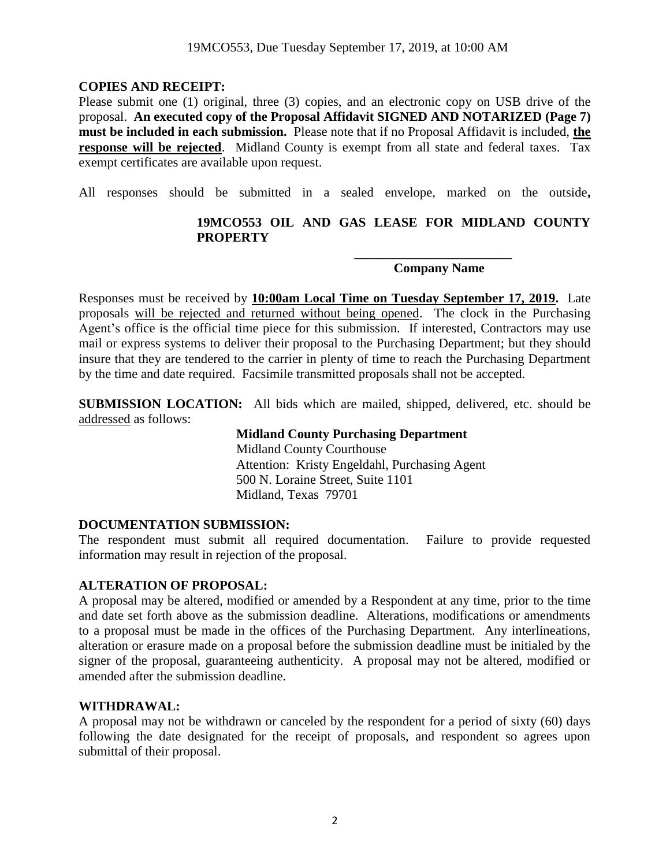### **COPIES AND RECEIPT:**

Please submit one (1) original, three (3) copies, and an electronic copy on USB drive of the proposal. **An executed copy of the Proposal Affidavit SIGNED AND NOTARIZED (Page 7) must be included in each submission.** Please note that if no Proposal Affidavit is included, **the response will be rejected**. Midland County is exempt from all state and federal taxes. Tax exempt certificates are available upon request.

All responses should be submitted in a sealed envelope, marked on the outside**,** 

### **19MCO553 OIL AND GAS LEASE FOR MIDLAND COUNTY PROPERTY**

### **Company Name**

**\_\_\_\_\_\_\_\_\_\_\_\_\_\_\_\_\_\_\_\_\_\_\_\_**

Responses must be received by **10:00am Local Time on Tuesday September 17, 2019.** Late proposals will be rejected and returned without being opened. The clock in the Purchasing Agent's office is the official time piece for this submission. If interested, Contractors may use mail or express systems to deliver their proposal to the Purchasing Department; but they should insure that they are tendered to the carrier in plenty of time to reach the Purchasing Department by the time and date required. Facsimile transmitted proposals shall not be accepted.

**SUBMISSION LOCATION:** All bids which are mailed, shipped, delivered, etc. should be addressed as follows:

> **Midland County Purchasing Department** Midland County Courthouse Attention: Kristy Engeldahl, Purchasing Agent 500 N. Loraine Street, Suite 1101 Midland, Texas 79701

#### **DOCUMENTATION SUBMISSION:**

The respondent must submit all required documentation. Failure to provide requested information may result in rejection of the proposal.

#### **ALTERATION OF PROPOSAL:**

A proposal may be altered, modified or amended by a Respondent at any time, prior to the time and date set forth above as the submission deadline. Alterations, modifications or amendments to a proposal must be made in the offices of the Purchasing Department. Any interlineations, alteration or erasure made on a proposal before the submission deadline must be initialed by the signer of the proposal, guaranteeing authenticity. A proposal may not be altered, modified or amended after the submission deadline.

#### **WITHDRAWAL:**

A proposal may not be withdrawn or canceled by the respondent for a period of sixty (60) days following the date designated for the receipt of proposals, and respondent so agrees upon submittal of their proposal.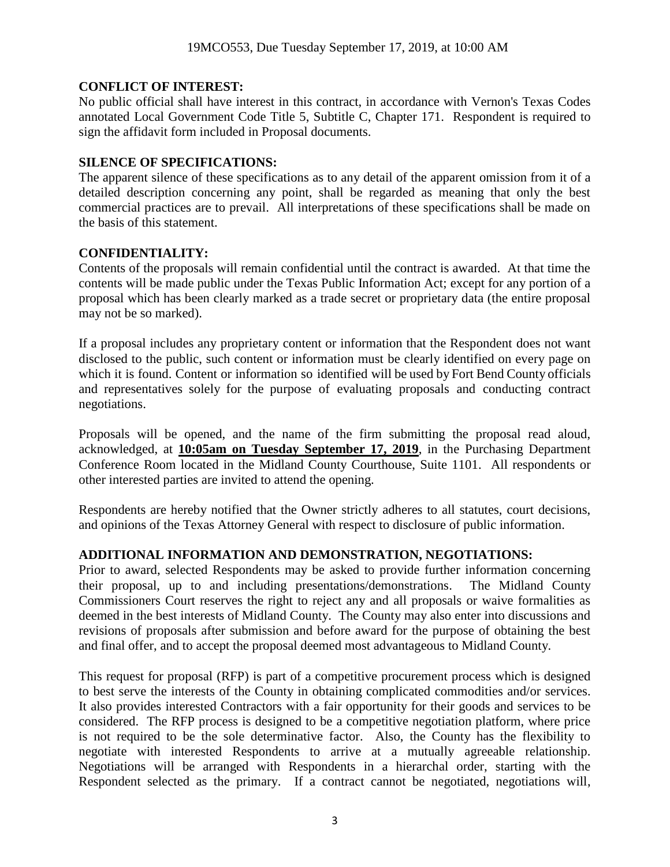### **CONFLICT OF INTEREST:**

No public official shall have interest in this contract, in accordance with Vernon's Texas Codes annotated Local Government Code Title 5, Subtitle C, Chapter 171. Respondent is required to sign the affidavit form included in Proposal documents.

### **SILENCE OF SPECIFICATIONS:**

The apparent silence of these specifications as to any detail of the apparent omission from it of a detailed description concerning any point, shall be regarded as meaning that only the best commercial practices are to prevail. All interpretations of these specifications shall be made on the basis of this statement.

## **CONFIDENTIALITY:**

Contents of the proposals will remain confidential until the contract is awarded. At that time the contents will be made public under the Texas Public Information Act; except for any portion of a proposal which has been clearly marked as a trade secret or proprietary data (the entire proposal may not be so marked).

If a proposal includes any proprietary content or information that the Respondent does not want disclosed to the public, such content or information must be clearly identified on every page on which it is found. Content or information so identified will be used by Fort Bend County officials and representatives solely for the purpose of evaluating proposals and conducting contract negotiations.

Proposals will be opened, and the name of the firm submitting the proposal read aloud, acknowledged, at **10:05am on Tuesday September 17, 2019**, in the Purchasing Department Conference Room located in the Midland County Courthouse, Suite 1101. All respondents or other interested parties are invited to attend the opening.

Respondents are hereby notified that the Owner strictly adheres to all statutes, court decisions, and opinions of the Texas Attorney General with respect to disclosure of public information.

### **ADDITIONAL INFORMATION AND DEMONSTRATION, NEGOTIATIONS:**

Prior to award, selected Respondents may be asked to provide further information concerning their proposal, up to and including presentations/demonstrations. The Midland County Commissioners Court reserves the right to reject any and all proposals or waive formalities as deemed in the best interests of Midland County. The County may also enter into discussions and revisions of proposals after submission and before award for the purpose of obtaining the best and final offer, and to accept the proposal deemed most advantageous to Midland County.

This request for proposal (RFP) is part of a competitive procurement process which is designed to best serve the interests of the County in obtaining complicated commodities and/or services. It also provides interested Contractors with a fair opportunity for their goods and services to be considered. The RFP process is designed to be a competitive negotiation platform, where price is not required to be the sole determinative factor. Also, the County has the flexibility to negotiate with interested Respondents to arrive at a mutually agreeable relationship. Negotiations will be arranged with Respondents in a hierarchal order, starting with the Respondent selected as the primary. If a contract cannot be negotiated, negotiations will,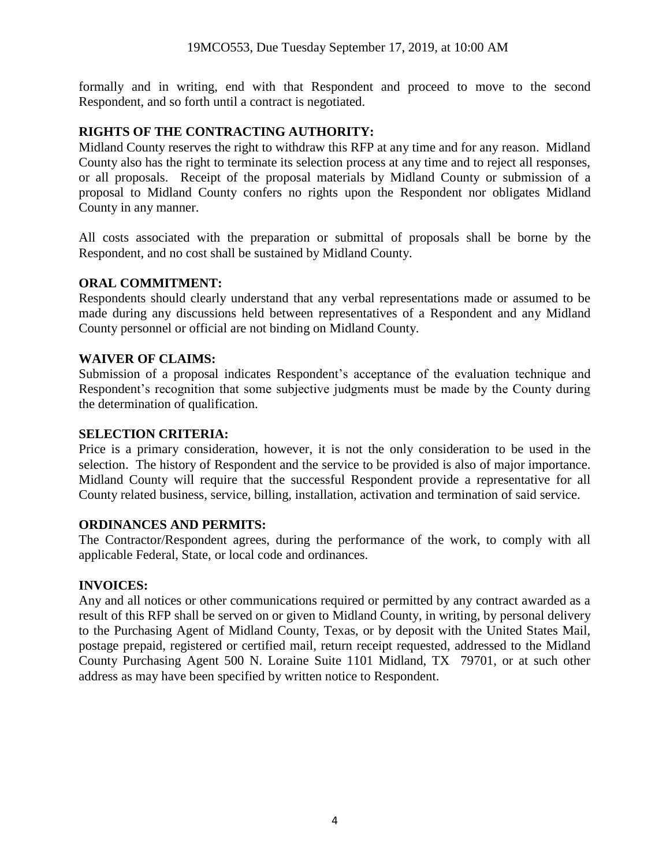formally and in writing, end with that Respondent and proceed to move to the second Respondent, and so forth until a contract is negotiated.

#### **RIGHTS OF THE CONTRACTING AUTHORITY:**

Midland County reserves the right to withdraw this RFP at any time and for any reason. Midland County also has the right to terminate its selection process at any time and to reject all responses, or all proposals. Receipt of the proposal materials by Midland County or submission of a proposal to Midland County confers no rights upon the Respondent nor obligates Midland County in any manner.

All costs associated with the preparation or submittal of proposals shall be borne by the Respondent, and no cost shall be sustained by Midland County.

### **ORAL COMMITMENT:**

Respondents should clearly understand that any verbal representations made or assumed to be made during any discussions held between representatives of a Respondent and any Midland County personnel or official are not binding on Midland County.

#### **WAIVER OF CLAIMS:**

Submission of a proposal indicates Respondent's acceptance of the evaluation technique and Respondent's recognition that some subjective judgments must be made by the County during the determination of qualification.

#### **SELECTION CRITERIA:**

Price is a primary consideration, however, it is not the only consideration to be used in the selection. The history of Respondent and the service to be provided is also of major importance. Midland County will require that the successful Respondent provide a representative for all County related business, service, billing, installation, activation and termination of said service.

#### **ORDINANCES AND PERMITS:**

The Contractor/Respondent agrees, during the performance of the work, to comply with all applicable Federal, State, or local code and ordinances.

#### **INVOICES:**

Any and all notices or other communications required or permitted by any contract awarded as a result of this RFP shall be served on or given to Midland County, in writing, by personal delivery to the Purchasing Agent of Midland County, Texas, or by deposit with the United States Mail, postage prepaid, registered or certified mail, return receipt requested, addressed to the Midland County Purchasing Agent 500 N. Loraine Suite 1101 Midland, TX 79701, or at such other address as may have been specified by written notice to Respondent.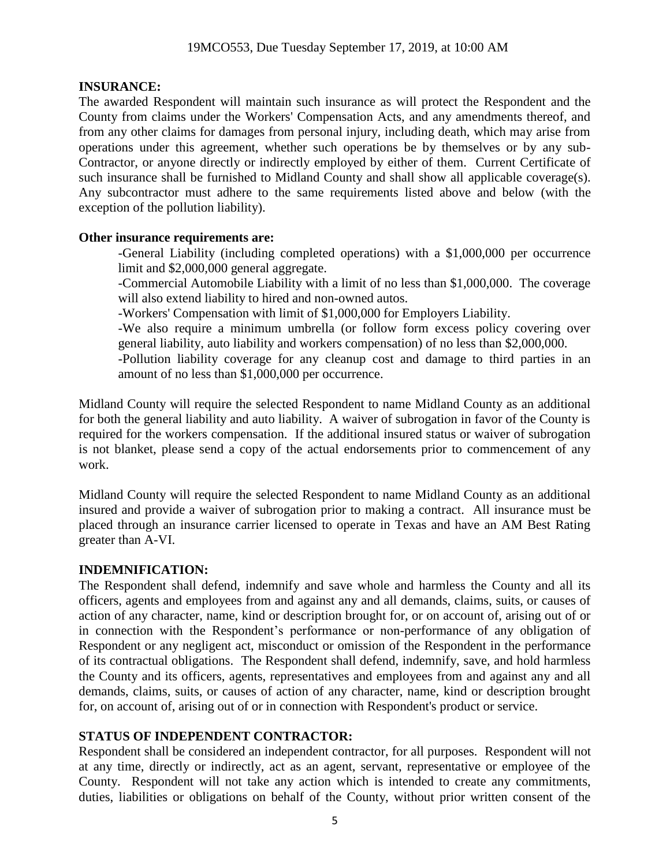#### **INSURANCE:**

The awarded Respondent will maintain such insurance as will protect the Respondent and the County from claims under the Workers' Compensation Acts, and any amendments thereof, and from any other claims for damages from personal injury, including death, which may arise from operations under this agreement, whether such operations be by themselves or by any sub-Contractor, or anyone directly or indirectly employed by either of them. Current Certificate of such insurance shall be furnished to Midland County and shall show all applicable coverage(s). Any subcontractor must adhere to the same requirements listed above and below (with the exception of the pollution liability).

#### **Other insurance requirements are:**

-General Liability (including completed operations) with a \$1,000,000 per occurrence limit and \$2,000,000 general aggregate.

-Commercial Automobile Liability with a limit of no less than \$1,000,000. The coverage will also extend liability to hired and non-owned autos.

-Workers' Compensation with limit of \$1,000,000 for Employers Liability.

-We also require a minimum umbrella (or follow form excess policy covering over general liability, auto liability and workers compensation) of no less than \$2,000,000.

-Pollution liability coverage for any cleanup cost and damage to third parties in an amount of no less than \$1,000,000 per occurrence.

Midland County will require the selected Respondent to name Midland County as an additional for both the general liability and auto liability. A waiver of subrogation in favor of the County is required for the workers compensation. If the additional insured status or waiver of subrogation is not blanket, please send a copy of the actual endorsements prior to commencement of any work.

Midland County will require the selected Respondent to name Midland County as an additional insured and provide a waiver of subrogation prior to making a contract. All insurance must be placed through an insurance carrier licensed to operate in Texas and have an AM Best Rating greater than A-VI.

### **INDEMNIFICATION:**

The Respondent shall defend, indemnify and save whole and harmless the County and all its officers, agents and employees from and against any and all demands, claims, suits, or causes of action of any character, name, kind or description brought for, or on account of, arising out of or in connection with the Respondent's performance or non-performance of any obligation of Respondent or any negligent act, misconduct or omission of the Respondent in the performance of its contractual obligations. The Respondent shall defend, indemnify, save, and hold harmless the County and its officers, agents, representatives and employees from and against any and all demands, claims, suits, or causes of action of any character, name, kind or description brought for, on account of, arising out of or in connection with Respondent's product or service.

### **STATUS OF INDEPENDENT CONTRACTOR:**

Respondent shall be considered an independent contractor, for all purposes. Respondent will not at any time, directly or indirectly, act as an agent, servant, representative or employee of the County. Respondent will not take any action which is intended to create any commitments, duties, liabilities or obligations on behalf of the County, without prior written consent of the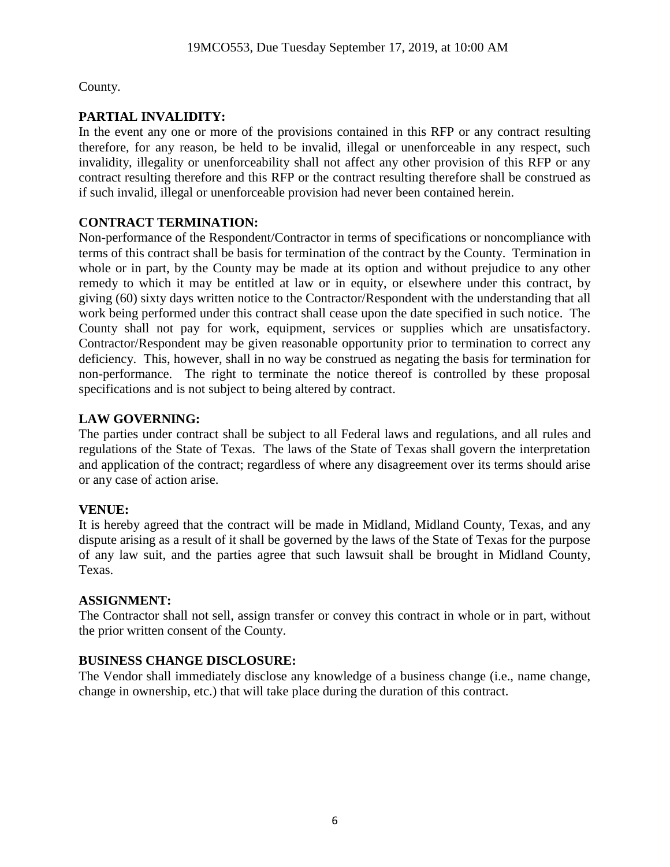County.

# **PARTIAL INVALIDITY:**

In the event any one or more of the provisions contained in this RFP or any contract resulting therefore, for any reason, be held to be invalid, illegal or unenforceable in any respect, such invalidity, illegality or unenforceability shall not affect any other provision of this RFP or any contract resulting therefore and this RFP or the contract resulting therefore shall be construed as if such invalid, illegal or unenforceable provision had never been contained herein.

## **CONTRACT TERMINATION:**

Non-performance of the Respondent/Contractor in terms of specifications or noncompliance with terms of this contract shall be basis for termination of the contract by the County. Termination in whole or in part, by the County may be made at its option and without prejudice to any other remedy to which it may be entitled at law or in equity, or elsewhere under this contract, by giving (60) sixty days written notice to the Contractor/Respondent with the understanding that all work being performed under this contract shall cease upon the date specified in such notice. The County shall not pay for work, equipment, services or supplies which are unsatisfactory. Contractor/Respondent may be given reasonable opportunity prior to termination to correct any deficiency. This, however, shall in no way be construed as negating the basis for termination for non-performance. The right to terminate the notice thereof is controlled by these proposal specifications and is not subject to being altered by contract.

## **LAW GOVERNING:**

The parties under contract shall be subject to all Federal laws and regulations, and all rules and regulations of the State of Texas. The laws of the State of Texas shall govern the interpretation and application of the contract; regardless of where any disagreement over its terms should arise or any case of action arise.

## **VENUE:**

It is hereby agreed that the contract will be made in Midland, Midland County, Texas, and any dispute arising as a result of it shall be governed by the laws of the State of Texas for the purpose of any law suit, and the parties agree that such lawsuit shall be brought in Midland County, Texas.

### **ASSIGNMENT:**

The Contractor shall not sell, assign transfer or convey this contract in whole or in part, without the prior written consent of the County.

## **BUSINESS CHANGE DISCLOSURE:**

The Vendor shall immediately disclose any knowledge of a business change (i.e., name change, change in ownership, etc.) that will take place during the duration of this contract.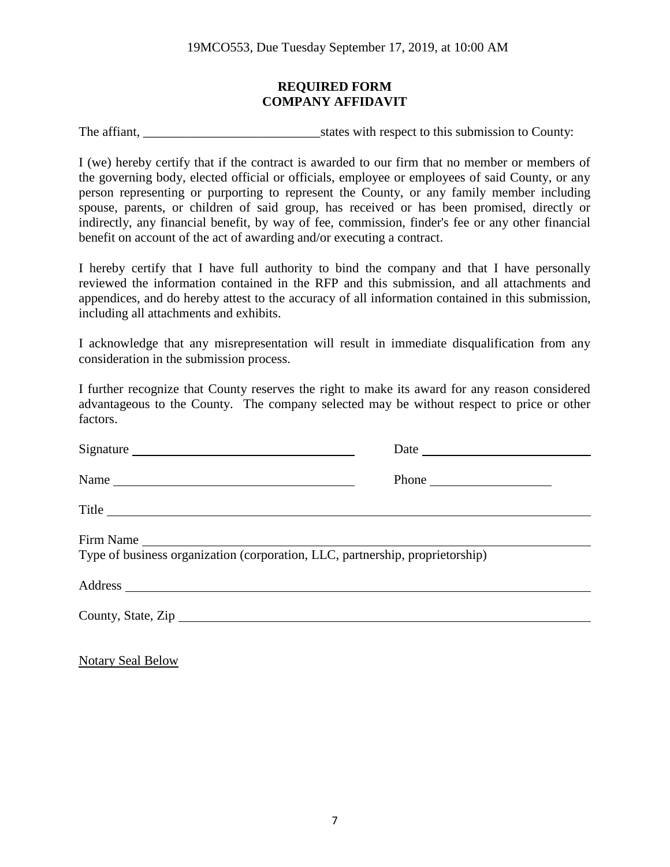#### **REQUIRED FORM COMPANY AFFIDAVIT**

The affiant, \_\_\_\_\_\_\_\_\_\_\_\_\_\_\_\_\_\_\_\_\_\_\_\_\_\_\_states with respect to this submission to County:

I (we) hereby certify that if the contract is awarded to our firm that no member or members of the governing body, elected official or officials, employee or employees of said County, or any person representing or purporting to represent the County, or any family member including spouse, parents, or children of said group, has received or has been promised, directly or indirectly, any financial benefit, by way of fee, commission, finder's fee or any other financial benefit on account of the act of awarding and/or executing a contract.

I hereby certify that I have full authority to bind the company and that I have personally reviewed the information contained in the RFP and this submission, and all attachments and appendices, and do hereby attest to the accuracy of all information contained in this submission, including all attachments and exhibits.

I acknowledge that any misrepresentation will result in immediate disqualification from any consideration in the submission process.

I further recognize that County reserves the right to make its award for any reason considered advantageous to the County. The company selected may be without respect to price or other factors.

| Signature                                                                                  |                                                                                      |  |
|--------------------------------------------------------------------------------------------|--------------------------------------------------------------------------------------|--|
| Name                                                                                       | Phone $\frac{1}{\sqrt{1-\frac{1}{2}}\sqrt{1-\frac{1}{2}}\left(1-\frac{1}{2}\right)}$ |  |
| Title                                                                                      |                                                                                      |  |
| Firm Name<br>Type of business organization (corporation, LLC, partnership, proprietorship) |                                                                                      |  |
|                                                                                            |                                                                                      |  |
| County, State, Zip                                                                         |                                                                                      |  |
|                                                                                            |                                                                                      |  |

Notary Seal Below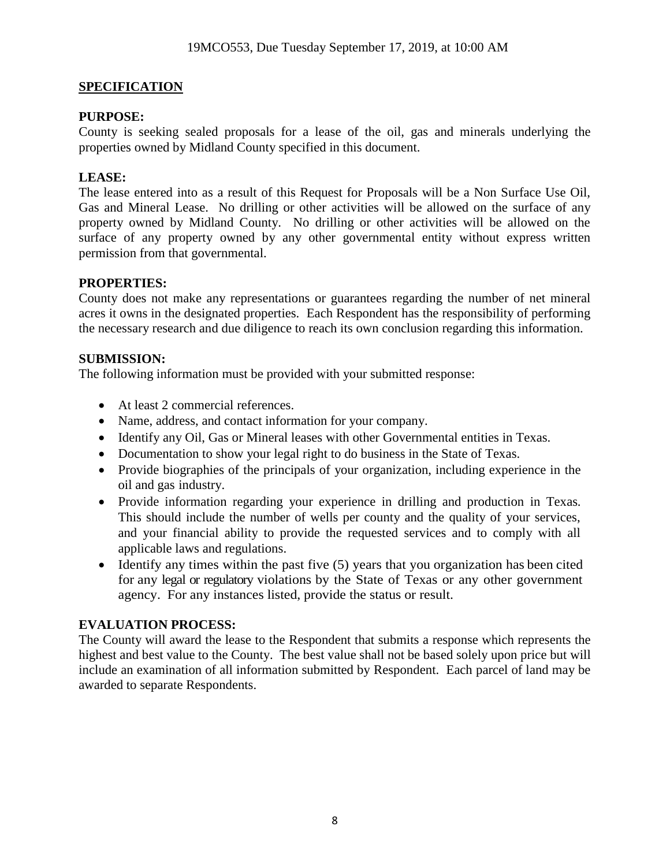### **SPECIFICATION**

#### **PURPOSE:**

County is seeking sealed proposals for a lease of the oil, gas and minerals underlying the properties owned by Midland County specified in this document.

### **LEASE:**

The lease entered into as a result of this Request for Proposals will be a Non Surface Use Oil, Gas and Mineral Lease. No drilling or other activities will be allowed on the surface of any property owned by Midland County. No drilling or other activities will be allowed on the surface of any property owned by any other governmental entity without express written permission from that governmental.

#### **PROPERTIES:**

County does not make any representations or guarantees regarding the number of net mineral acres it owns in the designated properties. Each Respondent has the responsibility of performing the necessary research and due diligence to reach its own conclusion regarding this information.

#### **SUBMISSION:**

The following information must be provided with your submitted response:

- At least 2 commercial references.
- Name, address, and contact information for your company.
- Identify any Oil, Gas or Mineral leases with other Governmental entities in Texas.
- Documentation to show your legal right to do business in the State of Texas.
- Provide biographies of the principals of your organization, including experience in the oil and gas industry.
- Provide information regarding your experience in drilling and production in Texas. This should include the number of wells per county and the quality of your services, and your financial ability to provide the requested services and to comply with all applicable laws and regulations.
- Identify any times within the past five (5) years that you organization has been cited for any legal or regulatory violations by the State of Texas or any other government agency. For any instances listed, provide the status or result.

#### **EVALUATION PROCESS:**

The County will award the lease to the Respondent that submits a response which represents the highest and best value to the County. The best value shall not be based solely upon price but will include an examination of all information submitted by Respondent. Each parcel of land may be awarded to separate Respondents.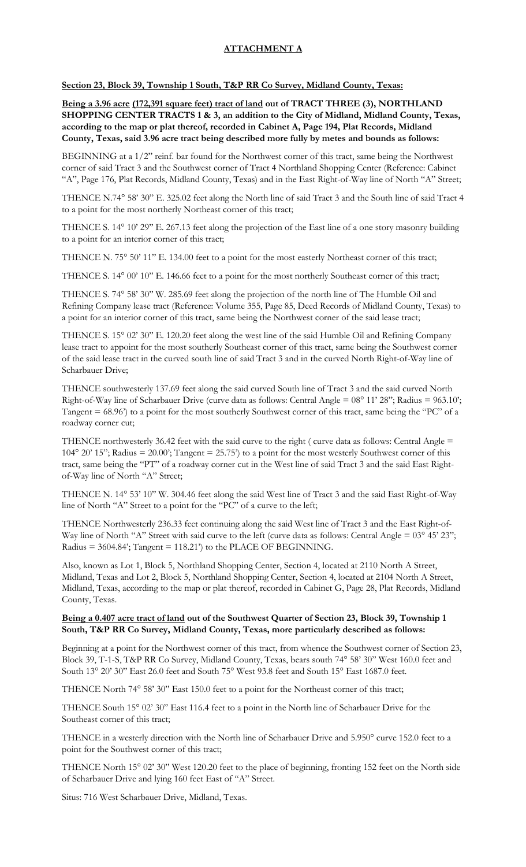## **ATTACHMENT A**

**Section 23, Block 39, Township 1 South, T&P RR Co Survey, Midland County, Texas:**

**Being a 3.96 acre (172,391 square feet) tract of land out of TRACT THREE (3), NORTHLAND SHOPPING CENTER TRACTS 1 & 3, an addition to the City of Midland, Midland County, Texas, according to the map or plat thereof, recorded in Cabinet A, Page 194, Plat Records, Midland County, Texas, said 3.96 acre tract being described more fully by metes and bounds as follows:**

BEGINNING at a  $1/2$ " reinf. bar found for the Northwest corner of this tract, same being the Northwest corner of said Tract 3 and the Southwest corner of Tract 4 Northland Shopping Center (Reference: Cabinet "A", Page 176, Plat Records, Midland County, Texas) and in the East Right-of-Way line of North "A" Street;

THENCE N.74° 58' 30" E. 325.02 feet along the North line of said Tract 3 and the South line of said Tract 4 to a point for the most northerly Northeast corner of this tract;

THENCE S. 14° 10' 29'' E. 267.13 feet along the projection of the East line of a one story masonry building to a point for an interior corner of this tract;

THENCE N. 75° 50' 11" E. 134.00 feet to a point for the most easterly Northeast corner of this tract;

THENCE S. 14° 00' 10" E. 146.66 feet to a point for the most northerly Southeast corner of this tract;

THENCE S. 74° 58' 30" W. 285.69 feet along the projection of the north line of The Humble Oil and Refining Company lease tract (Reference: Volume 355, Page 85, Deed Records of Midland County, Texas) to a point for an interior corner of this tract, same being the Northwest corner of the said lease tract;

THENCE S. 15° 02' 30" E. 120.20 feet along the west line of the said Humble Oil and Refining Company lease tract to appoint for the most southerly Southeast corner of this tract, same being the Southwest corner of the said lease tract in the curved south line of said Tract 3 and in the curved North Right-of-Way line of Scharbauer Drive;

THENCE southwesterly 137.69 feet along the said curved South line of Tract 3 and the said curved North Right-of-Way line of Scharbauer Drive (curve data as follows: Central Angle = 08° 11' 28"; Radius = 963.10'; Tangent = 68.96') to a point for the most southerly Southwest corner of this tract, same being the "PC" of a roadway corner cut;

THENCE northwesterly 36.42 feet with the said curve to the right ( curve data as follows: Central Angle = 104° 20' 15"; Radius = 20.00'; Tangent = 25.75') to a point for the most westerly Southwest corner of this tract, same being the "PT" of a roadway corner cut in the West line of said Tract 3 and the said East Rightof-Way line of North "A" Street;

THENCE N. 14° 53' 10" W. 304.46 feet along the said West line of Tract 3 and the said East Right-of-Way line of North "A" Street to a point for the "PC" of a curve to the left;

THENCE Northwesterly 236.33 feet continuing along the said West line of Tract 3 and the East Right-of-Way line of North "A" Street with said curve to the left (curve data as follows: Central Angle = 03° 45' 23"; Radius =  $3604.84$ ; Tangent =  $118.21$ <sup>\*</sup>) to the PLACE OF BEGINNING.

Also, known as Lot 1, Block 5, Northland Shopping Center, Section 4, located at 2110 North A Street, Midland, Texas and Lot 2, Block 5, Northland Shopping Center, Section 4, located at 2104 North A Street, Midland, Texas, according to the map or plat thereof, recorded in Cabinet G, Page 28, Plat Records, Midland County, Texas.

#### **Being a 0.407 acre tract of land out of the Southwest Quarter of Section 23, Block 39, Township 1 South, T&P RR Co Survey, Midland County, Texas, more particularly described as follows:**

Beginning at a point for the Northwest corner of this tract, from whence the Southwest corner of Section 23, Block 39, T-1-S, T&P RR Co Survey, Midland County, Texas, bears south 74° 58' 30" West 160.0 feet and South 13° 20' 30" East 26.0 feet and South 75° West 93.8 feet and South 15° East 1687.0 feet.

THENCE North 74° 58' 30" East 150.0 feet to a point for the Northeast corner of this tract;

THENCE South 15° 02' 30" East 116.4 feet to a point in the North line of Scharbauer Drive for the Southeast corner of this tract;

THENCE in a westerly direction with the North line of Scharbauer Drive and 5.950° curve 152.0 feet to a point for the Southwest corner of this tract;

THENCE North 15° 02' 30" West 120.20 feet to the place of beginning, fronting 152 feet on the North side of Scharbauer Drive and lying 160 feet East of "A" Street.

Situs: 716 West Scharbauer Drive, Midland, Texas.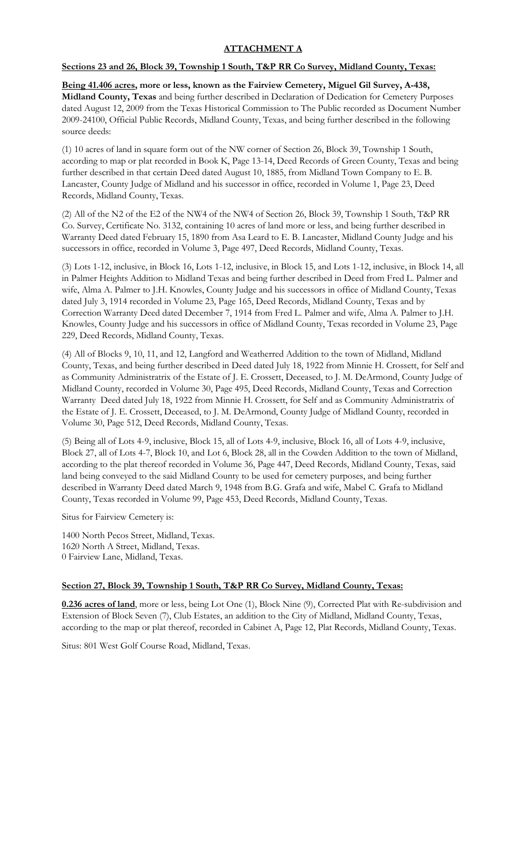### **ATTACHMENT A**

#### **Sections 23 and 26, Block 39, Township 1 South, T&P RR Co Survey, Midland County, Texas:**

**Being 41.406 acres, more or less, known as the Fairview Cemetery, Miguel Gil Survey, A-438, Midland County, Texas** and being further described in Declaration of Dedication for Cemetery Purposes dated August 12, 2009 from the Texas Historical Commission to The Public recorded as Document Number 2009-24100, Official Public Records, Midland County, Texas, and being further described in the following source deeds:

(1) 10 acres of land in square form out of the NW corner of Section 26, Block 39, Township 1 South, according to map or plat recorded in Book K, Page 13-14, Deed Records of Green County, Texas and being further described in that certain Deed dated August 10, 1885, from Midland Town Company to E. B. Lancaster, County Judge of Midland and his successor in office, recorded in Volume 1, Page 23, Deed Records, Midland County, Texas.

(2) All of the N2 of the E2 of the NW4 of the NW4 of Section 26, Block 39, Township 1 South, T&P RR Co. Survey, Certificate No. 3132, containing 10 acres of land more or less, and being further described in Warranty Deed dated February 15, 1890 from Asa Leard to E. B. Lancaster, Midland County Judge and his successors in office, recorded in Volume 3, Page 497, Deed Records, Midland County, Texas.

(3) Lots 1-12, inclusive, in Block 16, Lots 1-12, inclusive, in Block 15, and Lots 1-12, inclusive, in Block 14, all in Palmer Heights Addition to Midland Texas and being further described in Deed from Fred L. Palmer and wife, Alma A. Palmer to J.H. Knowles, County Judge and his successors in office of Midland County, Texas dated July 3, 1914 recorded in Volume 23, Page 165, Deed Records, Midland County, Texas and by Correction Warranty Deed dated December 7, 1914 from Fred L. Palmer and wife, Alma A. Palmer to J.H. Knowles, County Judge and his successors in office of Midland County, Texas recorded in Volume 23, Page 229, Deed Records, Midland County, Texas.

(4) All of Blocks 9, 10, 11, and 12, Langford and Weatherred Addition to the town of Midland, Midland County, Texas, and being further described in Deed dated July 18, 1922 from Minnie H. Crossett, for Self and as Community Administratrix of the Estate of J. E. Crossett, Deceased, to J. M. DeArmond, County Judge of Midland County, recorded in Volume 30, Page 495, Deed Records, Midland County, Texas and Correction Warranty Deed dated July 18, 1922 from Minnie H. Crossett, for Self and as Community Administratrix of the Estate of J. E. Crossett, Deceased, to J. M. DeArmond, County Judge of Midland County, recorded in Volume 30, Page 512, Deed Records, Midland County, Texas.

(5) Being all of Lots 4-9, inclusive, Block 15, all of Lots 4-9, inclusive, Block 16, all of Lots 4-9, inclusive, Block 27, all of Lots 4-7, Block 10, and Lot 6, Block 28, all in the Cowden Addition to the town of Midland, according to the plat thereof recorded in Volume 36, Page 447, Deed Records, Midland County, Texas, said land being conveyed to the said Midland County to be used for cemetery purposes, and being further described in Warranty Deed dated March 9, 1948 from B.G. Grafa and wife, Mabel C. Grafa to Midland County, Texas recorded in Volume 99, Page 453, Deed Records, Midland County, Texas.

Situs for Fairview Cemetery is:

1400 North Pecos Street, Midland, Texas. 1620 North A Street, Midland, Texas. 0 Fairview Lane, Midland, Texas.

#### **Section 27, Block 39, Township 1 South, T&P RR Co Survey, Midland County, Texas:**

**0.236 acres of land**, more or less, being Lot One (1), Block Nine (9), Corrected Plat with Re-subdivision and Extension of Block Seven (7), Club Estates, an addition to the City of Midland, Midland County, Texas, according to the map or plat thereof, recorded in Cabinet A, Page 12, Plat Records, Midland County, Texas.

Situs: 801 West Golf Course Road, Midland, Texas.